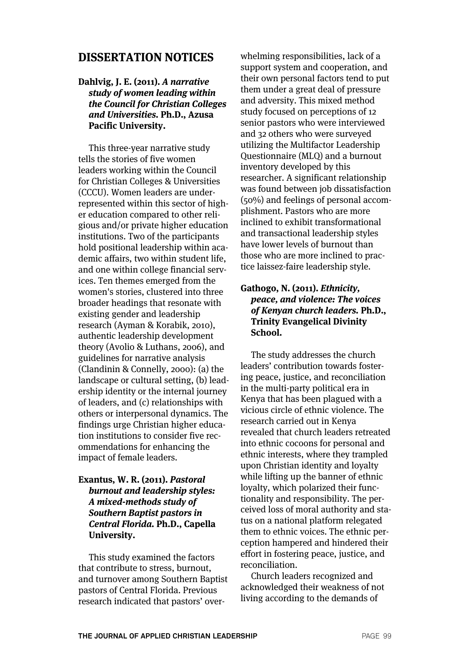# **DISSERTATION NOTICES**

## **Dahlvig, J. E. (2011). A narrative study of women leading within the Council for Christian Colleges and Universities. Ph.D., Azusa Pacific University.**

This three-year narrative study tells the stories of five women leaders working within the Council for Christian Colleges & Universities (CCCU). Women leaders are underrepresented within this sector of higher education compared to other religious and/or private higher education institutions. Two of the participants hold positional leadership within academic affairs, two within student life, and one within college financial services. Ten themes emerged from the women's stories, clustered into three broader headings that resonate with existing gender and leadership research (Ayman & Korabik, 2010), authentic leadership development theory (Avolio & Luthans, 2006), and guidelines for narrative analysis (Clandinin & Connelly, 2000): (a) the landscape or cultural setting, (b) leadership identity or the internal journey of leaders, and (c) relationships with others or interpersonal dynamics. The findings urge Christian higher education institutions to consider five recommendations for enhancing the impact of female leaders.

## **Exantus, W. R. (2011). Pastoral burnout and leadership styles: A mixed-methods study of Southern Baptist pastors in Central Florida. Ph.D., Capella University.**

This study examined the factors that contribute to stress, burnout, and turnover among Southern Baptist pastors of Central Florida. Previous research indicated that pastors' over-

whelming responsibilities, lack of a support system and cooperation, and their own personal factors tend to put them under a great deal of pressure and adversity. This mixed method study focused on perceptions of 12 senior pastors who were interviewed and 32 others who were surveyed utilizing the Multifactor Leadership Questionnaire (MLQ) and a burnout inventory developed by this researcher. A significant relationship was found between job dissatisfaction (50%) and feelings of personal accomplishment. Pastors who are more inclined to exhibit transformational and transactional leadership styles have lower levels of burnout than those who are more inclined to practice laissez-faire leadership style.

#### **Gathogo, N. (2011). Ethnicity, peace, and violence: The voices of Kenyan church leaders. Ph.D., Trinity Evangelical Divinity School.**

The study addresses the church leaders' contribution towards fostering peace, justice, and reconciliation in the multi-party political era in Kenya that has been plagued with a vicious circle of ethnic violence. The research carried out in Kenya revealed that church leaders retreated into ethnic cocoons for personal and ethnic interests, where they trampled upon Christian identity and loyalty while lifting up the banner of ethnic loyalty, which polarized their functionality and responsibility. The perceived loss of moral authority and status on a national platform relegated them to ethnic voices. The ethnic perception hampered and hindered their effort in fostering peace, justice, and reconciliation.

Church leaders recognized and acknowledged their weakness of not living according to the demands of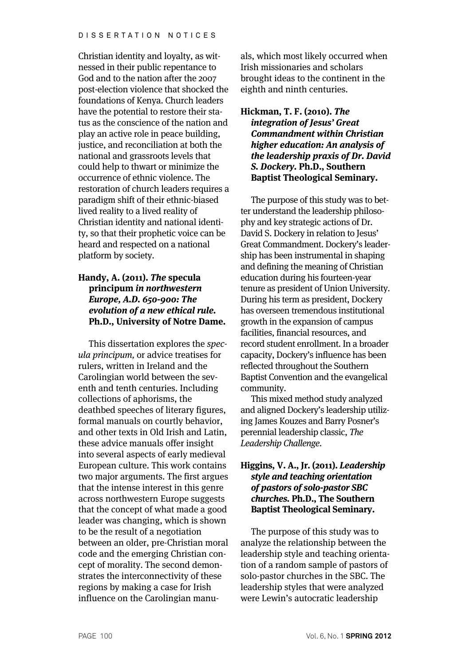Christian identity and loyalty, as witnessed in their public repentance to God and to the nation after the 2007 post-election violence that shocked the foundations of Kenya. Church leaders have the potential to restore their status as the conscience of the nation and play an active role in peace building, justice, and reconciliation at both the national and grassroots levels that could help to thwart or minimize the occurrence of ethnic violence. The restoration of church leaders requires a paradigm shift of their ethnic-biased lived reality to a lived reality of Christian identity and national identity, so that their prophetic voice can be heard and respected on a national platform by society.

## **Handy, A. (2011). The specula principum in northwestern Europe, A.D. 650-900: The evolution of a new ethical rule. Ph.D., University of Notre Dame.**

This dissertation explores the specula principum, or advice treatises for rulers, written in Ireland and the Carolingian world between the seventh and tenth centuries. Including collections of aphorisms, the deathbed speeches of literary figures, formal manuals on courtly behavior, and other texts in Old Irish and Latin, these advice manuals offer insight into several aspects of early medieval European culture. This work contains two major arguments. The first argues that the intense interest in this genre across northwestern Europe suggests that the concept of what made a good leader was changing, which is shown to be the result of a negotiation between an older, pre-Christian moral code and the emerging Christian concept of morality. The second demonstrates the interconnectivity of these regions by making a case for Irish influence on the Carolingian manuals, which most likely occurred when Irish missionaries and scholars brought ideas to the continent in the eighth and ninth centuries.

## **Hickman, T. F. (2010). The integration of Jesus' Great Commandment within Christian higher education: An analysis of the leadership praxis of Dr. David S. Dockery. Ph.D., Southern Baptist Theological Seminary.**

The purpose of this study was to better understand the leadership philosophy and key strategic actions of Dr. David S. Dockery in relation to Jesus' Great Commandment. Dockery's leadership has been instrumental in shaping and defining the meaning of Christian education during his fourteen-year tenure as president of Union University. During his term as president, Dockery has overseen tremendous institutional growth in the expansion of campus facilities, financial resources, and record student enrollment. In a broader capacity, Dockery's influence has been reflected throughout the Southern Baptist Convention and the evangelical community.

This mixed method study analyzed and aligned Dockery's leadership utilizing James Kouzes and Barry Posner's perennial leadership classic, The Leadership Challenge.

## **Higgins, V. A., Jr. (2011). Leadership style and teaching orientation of pastors of solo-pastor SBC churches. Ph.D., The Southern Baptist Theological Seminary.**

The purpose of this study was to analyze the relationship between the leadership style and teaching orientation of a random sample of pastors of solo-pastor churches in the SBC. The leadership styles that were analyzed were Lewin's autocratic leadership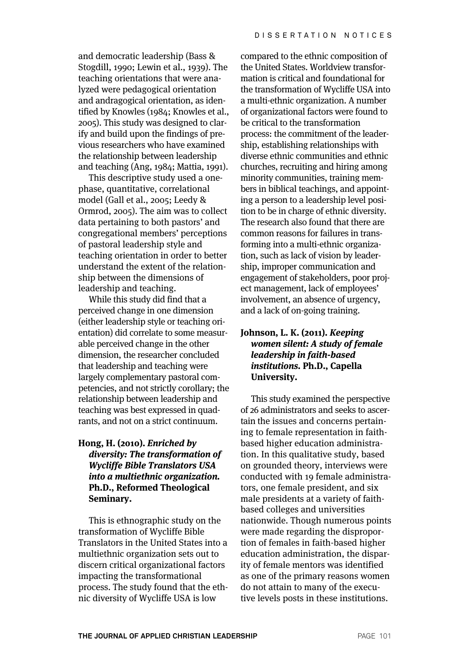and democratic leadership (Bass & Stogdill, 1990; Lewin et al., 1939). The teaching orientations that were analyzed were pedagogical orientation and andragogical orientation, as identified by Knowles (1984; Knowles et al., 2005). This study was designed to clarify and build upon the findings of previous researchers who have examined the relationship between leadership and teaching (Ang, 1984; Mattia, 1991).

This descriptive study used a onephase, quantitative, correlational model (Gall et al., 2005; Leedy & Ormrod, 2005). The aim was to collect data pertaining to both pastors' and congregational members' perceptions of pastoral leadership style and teaching orientation in order to better understand the extent of the relationship between the dimensions of leadership and teaching.

While this study did find that a perceived change in one dimension (either leadership style or teaching orientation) did correlate to some measurable perceived change in the other dimension, the researcher concluded that leadership and teaching were largely complementary pastoral competencies, and not strictly corollary; the relationship between leadership and teaching was best expressed in quadrants, and not on a strict continuum.

## **Hong, H. (2010). Enriched by diversity: The transformation of Wycliffe Bible Translators USA into a multiethnic organization. Ph.D., Reformed Theological Seminary.**

This is ethnographic study on the transformation of Wycliffe Bible Translators in the United States into a multiethnic organization sets out to discern critical organizational factors impacting the transformational process. The study found that the ethnic diversity of Wycliffe USA is low

compared to the ethnic composition of the United States. Worldview transformation is critical and foundational for the transformation of Wycliffe USA into a multi-ethnic organization. A number of organizational factors were found to be critical to the transformation process: the commitment of the leadership, establishing relationships with diverse ethnic communities and ethnic churches, recruiting and hiring among minority communities, training members in biblical teachings, and appointing a person to a leadership level position to be in charge of ethnic diversity. The research also found that there are common reasons for failures in transforming into a multi-ethnic organization, such as lack of vision by leadership, improper communication and engagement of stakeholders, poor project management, lack of employees' involvement, an absence of urgency, and a lack of on-going training.

## **Johnson, L. K. (2011). Keeping women silent: A study of female leadership in faith-based institutions. Ph.D., Capella University.**

This study examined the perspective of 26 administrators and seeks to ascertain the issues and concerns pertaining to female representation in faithbased higher education administration. In this qualitative study, based on grounded theory, interviews were conducted with 19 female administrators, one female president, and six male presidents at a variety of faithbased colleges and universities nationwide. Though numerous points were made regarding the disproportion of females in faith-based higher education administration, the disparity of female mentors was identified as one of the primary reasons women do not attain to many of the executive levels posts in these institutions.